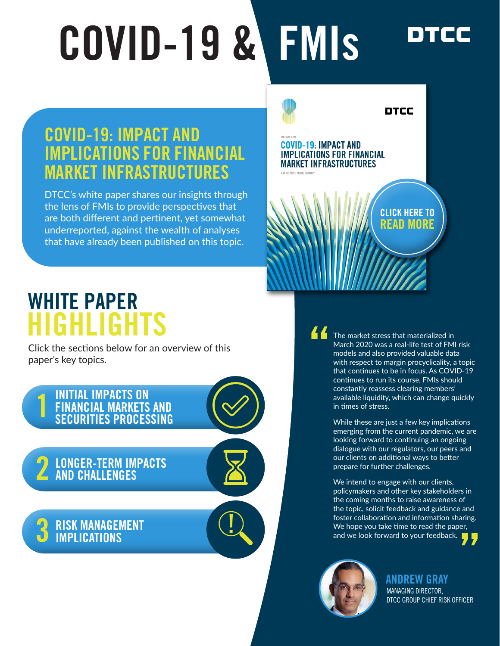# COVID-19 & FMIs

## COVID-19: IMPACT AND IMPLICATIONS FOR FINANCIAL MARKET INFRASTRUCTURES

DTCC's white paper shares our insights through the lens of FMIs to provide perspectives that are both different and pertinent, yet somewhat underreported, against the wealth of analyses that have already been published on this topic.



## HIGHLIGHTS WHITE PAPER

Click the sections below for an overview of this paper's key topics.

#### **1 INITIAL IMPACTS ON<br>1 FINANCIAL MARKETS<br>5 SECURITIES PROCES** [FINANCIAL MARKETS AND](#page-1-0)  SECURITIES PROCESSING

2 LONGER-TERM IMPACTS

3 [RISK MANAGEMENT](#page-3-0)  IMPLICATIONS

The market stress that materialized in March 2020 was a real-life test of FMI risk models and also provided valuable data with respect to margin procyclicality, a topic that continues to be in focus. As COVID-19 continues to run its course, FMIs should constantly reassess clearing members' available liquidity, which can change quickly in times of stress. "<br>"

DTCC

While these are just a few key implications emerging from the current pandemic, we are looking forward to continuing an ongoing dialogue with our regulators, our peers and our clients on additional ways to better prepare for further challenges.

We intend to engage with our clients, policymakers and other key stakeholders in the coming months to raise awareness of the topic, solicit feedback and guidance and foster collaboration and information sharing. We hope you take time to read the paper, and we look forward to your feedback. **77** 



[ANDREW GRAY](https://www.dtcc.com/about/leadership/management-committee/andrew-gray) MANAGING DIRECTOR, [DTCC GROUP CHIEF RISK OFFICER](https://www.dtcc.com/about/leadership/management-committee/andrew-gray)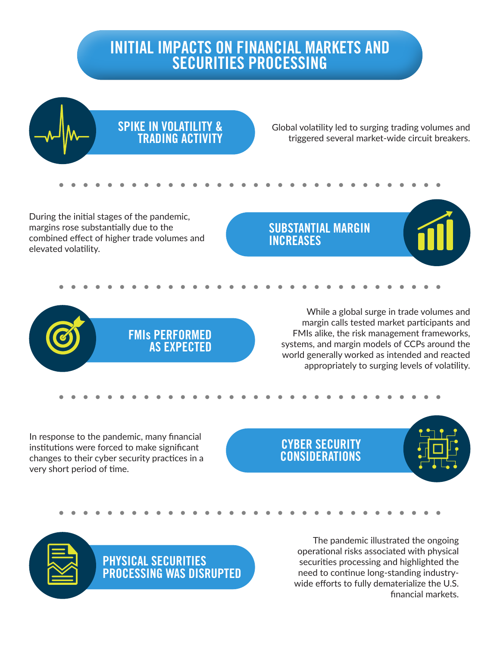## <span id="page-1-0"></span>INITIAL IMPACTS ON FINANCIAL MARKETS AND SECURITIES PROCESSING

SPIKE IN VOLATILITY & TRADING ACTIVITY

> FMIs PERFORMED AS EXPECTED

Global volatility led to surging trading volumes and triggered several market-wide circuit breakers.

During the initial stages of the pandemic, margins rose substantially due to the combined effect of higher trade volumes and elevated volatility.

SUBSTANTIAL MARGIN INCREASES

> While a global surge in trade volumes and margin calls tested market participants and FMIs alike, the risk management frameworks, systems, and margin models of CCPs around the world generally worked as intended and reacted appropriately to surging levels of volatility.

In response to the pandemic, many financial institutions were forced to make significant changes to their cyber security practices in a very short period of time.

#### CYBER SECURITY CONSIDERATIONS

PHYSICAL SECURITIES PROCESSING WAS DISRUPTED

The pandemic illustrated the ongoing operational risks associated with physical securities processing and highlighted the need to continue long-standing industrywide efforts to fully dematerialize the U.S. financial markets.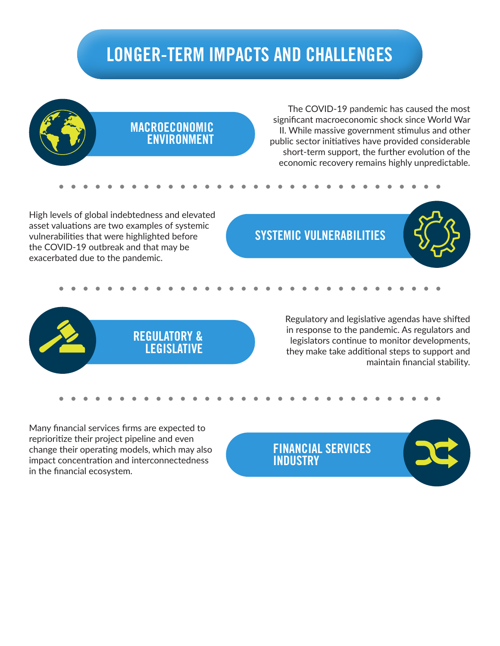## LONGER-TERM IMPACTS AND CHALLENGES

<span id="page-2-0"></span>

The COVID-19 pandemic has caused the most significant macroeconomic shock since World War II. While massive government stimulus and other public sector initiatives have provided considerable short-term support, the further evolution of the economic recovery remains highly unpredictable.

High levels of global indebtedness and elevated asset valuations are two examples of systemic vulnerabilities that were highlighted before the COVID-19 outbreak and that may be exacerbated due to the pandemic.

### SYSTEMIC VULNERABILITIES





Regulatory and legislative agendas have shifted in response to the pandemic. As regulators and legislators continue to monitor developments, they make take additional steps to support and maintain financial stability.

Many financial services firms are expected to reprioritize their project pipeline and even change their operating models, which may also impact concentration and interconnectedness in the financial ecosystem.

FINANCIAL SERVICES **INDUSTRY**